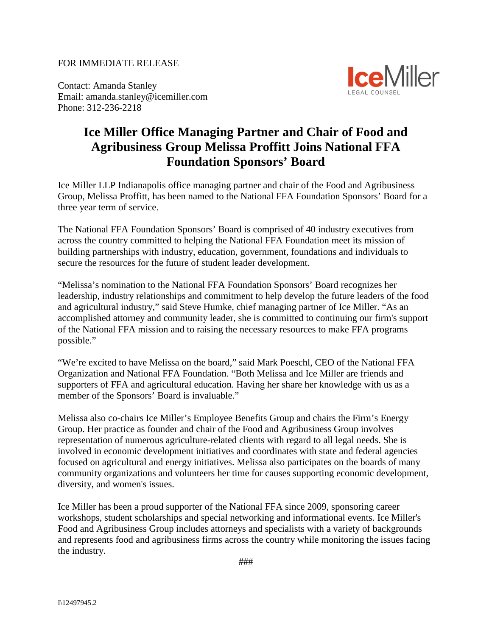## FOR IMMEDIATE RELEASE

Contact: Amanda Stanley Email: amanda.stanley@icemiller.com Phone: 312-236-2218



## **Ice Miller Office Managing Partner and Chair of Food and Agribusiness Group Melissa Proffitt Joins National FFA Foundation Sponsors' Board**

Ice Miller LLP Indianapolis office managing partner and chair of the Food and Agribusiness Group, Melissa Proffitt, has been named to the National FFA Foundation Sponsors' Board for a three year term of service.

The National FFA Foundation Sponsors' Board is comprised of 40 industry executives from across the country committed to helping the National FFA Foundation meet its mission of building partnerships with industry, education, government, foundations and individuals to secure the resources for the future of student leader development.

"Melissa's nomination to the National FFA Foundation Sponsors' Board recognizes her leadership, industry relationships and commitment to help develop the future leaders of the food and agricultural industry," said Steve Humke, chief managing partner of Ice Miller. "As an accomplished attorney and community leader, she is committed to continuing our firm's support of the National FFA mission and to raising the necessary resources to make FFA programs possible."

"We're excited to have Melissa on the board," said Mark Poeschl, CEO of the National FFA Organization and National FFA Foundation. "Both Melissa and Ice Miller are friends and supporters of FFA and agricultural education. Having her share her knowledge with us as a member of the Sponsors' Board is invaluable."

Melissa also co-chairs Ice Miller's Employee Benefits Group and chairs the Firm's Energy Group. Her practice as founder and chair of the Food and Agribusiness Group involves representation of numerous agriculture-related clients with regard to all legal needs. She is involved in economic development initiatives and coordinates with state and federal agencies focused on agricultural and energy initiatives. Melissa also participates on the boards of many community organizations and volunteers her time for causes supporting economic development, diversity, and women's issues.

Ice Miller has been a proud supporter of the National FFA since 2009, sponsoring career workshops, student scholarships and special networking and informational events. Ice Miller's Food and Agribusiness Group includes attorneys and specialists with a variety of backgrounds and represents food and agribusiness firms across the country while monitoring the issues facing the industry.